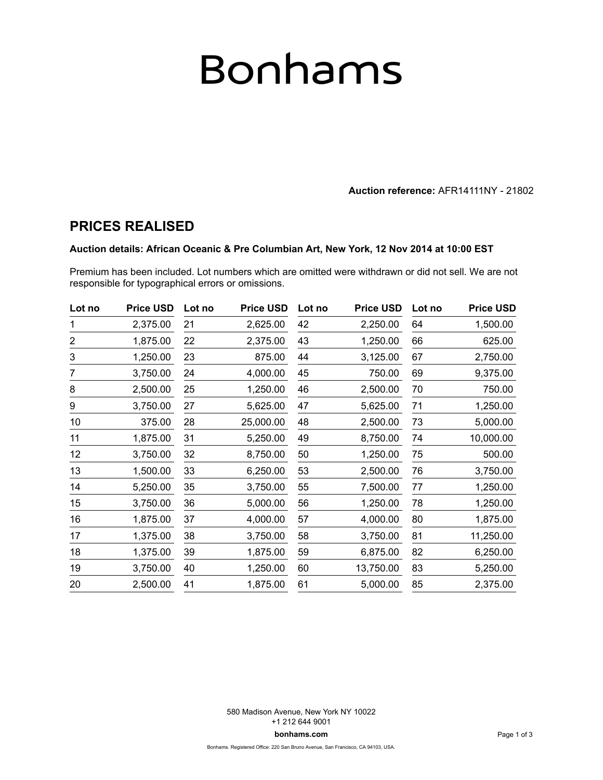# Bonhams

**Auction reference:** AFR14111NY - 21802

### **PRICES REALISED**

#### **Auction details: African Oceanic & Pre Columbian Art, New York, 12 Nov 2014 at 10:00 EST**

Premium has been included. Lot numbers which are omitted were withdrawn or did not sell. We are not responsible for typographical errors or omissions.

| Lot no         | <b>Price USD</b> | Lot no | <b>Price USD</b> | Lot no | <b>Price USD</b> | Lot no | <b>Price USD</b> |
|----------------|------------------|--------|------------------|--------|------------------|--------|------------------|
| 1              | 2,375.00         | 21     | 2,625.00         | 42     | 2,250.00         | 64     | 1,500.00         |
| $\overline{c}$ | 1,875.00         | 22     | 2,375.00         | 43     | 1,250.00         | 66     | 625.00           |
| 3              | 1,250.00         | 23     | 875.00           | 44     | 3,125.00         | 67     | 2,750.00         |
| 7              | 3,750.00         | 24     | 4,000.00         | 45     | 750.00           | 69     | 9,375.00         |
| 8              | 2,500.00         | 25     | 1,250.00         | 46     | 2,500.00         | 70     | 750.00           |
| 9              | 3,750.00         | 27     | 5,625.00         | 47     | 5,625.00         | 71     | 1,250.00         |
| 10             | 375.00           | 28     | 25,000.00        | 48     | 2,500.00         | 73     | 5,000.00         |
| 11             | 1,875.00         | 31     | 5,250.00         | 49     | 8,750.00         | 74     | 10,000.00        |
| 12             | 3,750.00         | 32     | 8,750.00         | 50     | 1,250.00         | 75     | 500.00           |
| 13             | 1,500.00         | 33     | 6,250.00         | 53     | 2,500.00         | 76     | 3,750.00         |
| 14             | 5,250.00         | 35     | 3,750.00         | 55     | 7,500.00         | 77     | 1,250.00         |
| 15             | 3,750.00         | 36     | 5,000.00         | 56     | 1,250.00         | 78     | 1,250.00         |
| 16             | 1,875.00         | 37     | 4,000.00         | 57     | 4,000.00         | 80     | 1,875.00         |
| 17             | 1,375.00         | 38     | 3,750.00         | 58     | 3,750.00         | 81     | 11,250.00        |
| 18             | 1,375.00         | 39     | 1,875.00         | 59     | 6,875.00         | 82     | 6,250.00         |
| 19             | 3,750.00         | 40     | 1,250.00         | 60     | 13,750.00        | 83     | 5,250.00         |
| 20             | 2,500.00         | 41     | 1,875.00         | 61     | 5,000.00         | 85     | 2,375.00         |

580 Madison Avenue, New York NY 10022 +1 212 644 9001 **bonhams.com**

Bonhams. Registered Office: 220 San Bruno Avenue, San Francisco, CA 94103, USA.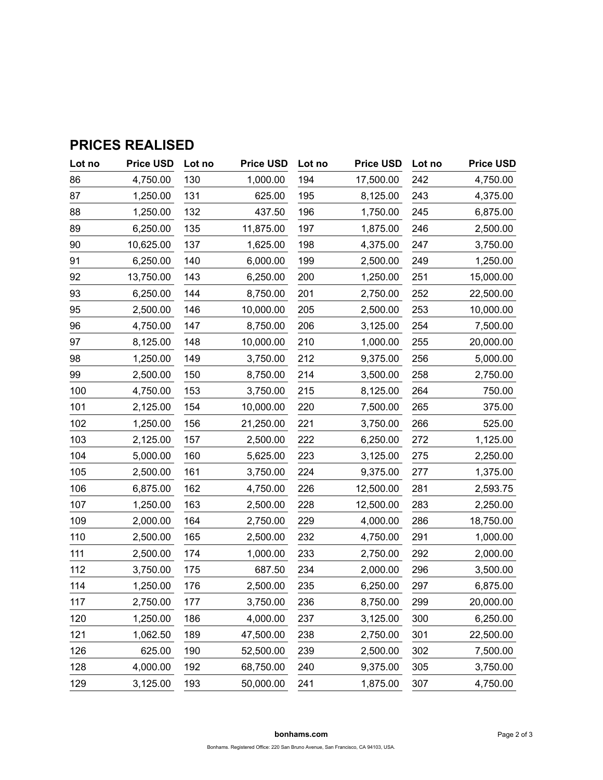| Lot no | <b>Price USD</b> | Lot no | <b>Price USD</b> | Lot no | <b>Price USD</b> | Lot no | <b>Price USD</b> |
|--------|------------------|--------|------------------|--------|------------------|--------|------------------|
| 86     | 4,750.00         | 130    | 1,000.00         | 194    | 17,500.00        | 242    | 4,750.00         |
| 87     | 1,250.00         | 131    | 625.00           | 195    | 8,125.00         | 243    | 4,375.00         |
| 88     | 1,250.00         | 132    | 437.50           | 196    | 1,750.00         | 245    | 6,875.00         |
| 89     | 6,250.00         | 135    | 11,875.00        | 197    | 1,875.00         | 246    | 2,500.00         |
| 90     | 10,625.00        | 137    | 1,625.00         | 198    | 4,375.00         | 247    | 3,750.00         |
| 91     | 6,250.00         | 140    | 6,000.00         | 199    | 2,500.00         | 249    | 1,250.00         |
| 92     | 13,750.00        | 143    | 6,250.00         | 200    | 1,250.00         | 251    | 15,000.00        |
| 93     | 6,250.00         | 144    | 8,750.00         | 201    | 2,750.00         | 252    | 22,500.00        |
| 95     | 2,500.00         | 146    | 10,000.00        | 205    | 2,500.00         | 253    | 10,000.00        |
| 96     | 4,750.00         | 147    | 8,750.00         | 206    | 3,125.00         | 254    | 7,500.00         |
| 97     | 8,125.00         | 148    | 10,000.00        | 210    | 1,000.00         | 255    | 20,000.00        |
| 98     | 1,250.00         | 149    | 3,750.00         | 212    | 9,375.00         | 256    | 5,000.00         |
| 99     | 2,500.00         | 150    | 8,750.00         | 214    | 3,500.00         | 258    | 2,750.00         |
| 100    | 4,750.00         | 153    | 3,750.00         | 215    | 8,125.00         | 264    | 750.00           |
| 101    | 2,125.00         | 154    | 10,000.00        | 220    | 7,500.00         | 265    | 375.00           |
| 102    | 1,250.00         | 156    | 21,250.00        | 221    | 3,750.00         | 266    | 525.00           |
| 103    | 2,125.00         | 157    | 2,500.00         | 222    | 6,250.00         | 272    | 1,125.00         |
| 104    | 5,000.00         | 160    | 5,625.00         | 223    | 3,125.00         | 275    | 2,250.00         |
| 105    | 2,500.00         | 161    | 3,750.00         | 224    | 9,375.00         | 277    | 1,375.00         |
| 106    | 6,875.00         | 162    | 4,750.00         | 226    | 12,500.00        | 281    | 2,593.75         |
| 107    | 1,250.00         | 163    | 2,500.00         | 228    | 12,500.00        | 283    | 2,250.00         |
| 109    | 2,000.00         | 164    | 2,750.00         | 229    | 4,000.00         | 286    | 18,750.00        |
| 110    | 2,500.00         | 165    | 2,500.00         | 232    | 4,750.00         | 291    | 1,000.00         |
| 111    | 2,500.00         | 174    | 1,000.00         | 233    | 2,750.00         | 292    | 2,000.00         |
| 112    | 3,750.00         | 175    | 687.50           | 234    | 2,000.00         | 296    | 3,500.00         |
| 114    | 1,250.00         | 176    | 2,500.00         | 235    | 6,250.00         | 297    | 6,875.00         |
| 117    | 2,750.00         | 177    | 3,750.00         | 236    | 8,750.00         | 299    | 20,000.00        |
| 120    | 1,250.00         | 186    | 4,000.00         | 237    | 3,125.00         | 300    | 6,250.00         |
| 121    | 1,062.50         | 189    | 47,500.00        | 238    | 2,750.00         | 301    | 22,500.00        |
| 126    | 625.00           | 190    | 52,500.00        | 239    | 2,500.00         | 302    | 7,500.00         |
| 128    | 4,000.00         | 192    | 68,750.00        | 240    | 9,375.00         | 305    | 3,750.00         |
| 129    | 3,125.00         | 193    | 50,000.00        | 241    | 1,875.00         | 307    | 4,750.00         |

## **PRICES REALISED**